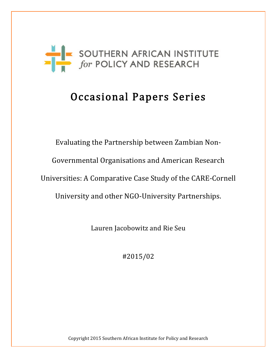

# Occasional Papers Series

Evaluating the Partnership between Zambian Non-Governmental Organisations and American Research Universities: A Comparative Case Study of the CARE-Cornell University and other NGO-University Partnerships.

Lauren Jacobowitz and Rie Seu

#2015/02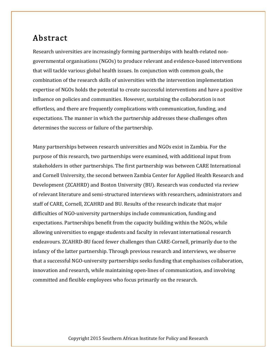### Abstract

Research universities are increasingly forming partnerships with health-related nongovernmental organisations (NGOs) to produce relevant and evidence-based interventions that will tackle various global health issues. In conjunction with common goals, the combination of the research skills of universities with the intervention implementation expertise of NGOs holds the potential to create successful interventions and have a positive influence on policies and communities. However, sustaining the collaboration is not effortless, and there are frequently complications with communication, funding, and expectations. The manner in which the partnership addresses these challenges often determines the success or failure of the partnership.

Many partnerships between research universities and NGOs exist in Zambia. For the purpose of this research, two partnerships were examined, with additional input from stakeholders in other partnerships. The first partnership was between CARE International and Cornell University, the second between Zambia Center for Applied Health Research and Development (ZCAHRD) and Boston University (BU). Research was conducted via review of relevant literature and semi-structured interviews with researchers, administrators and staff of CARE, Cornell, ZCAHRD and BU. Results of the research indicate that major difficulties of NGO-university partnerships include communication, funding and expectations. Partnerships benefit from the capacity building within the NGOs, while allowing universities to engage students and faculty in relevant international research endeavours. ZCAHRD-BU faced fewer challenges than CARE-Cornell, primarily due to the infancy of the latter partnership. Through previous research and interviews, we observe that a successful NGO-university partnerships seeks funding that emphasises collaboration, innovation and research, while maintaining open-lines of communication, and involving committed and flexible employees who focus primarily on the research.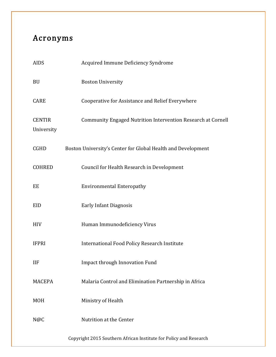# Acronyms

| <b>AIDS</b>                 | Acquired Immune Deficiency Syndrome                          |
|-----------------------------|--------------------------------------------------------------|
| <b>BU</b>                   | <b>Boston University</b>                                     |
| <b>CARE</b>                 | Cooperative for Assistance and Relief Everywhere             |
| <b>CENTIR</b><br>University | Community Engaged Nutrition Intervention Research at Cornell |
| <b>CGHD</b>                 | Boston University's Center for Global Health and Development |
| <b>COHRED</b>               | Council for Health Research in Development                   |
| EE                          | <b>Environmental Enteropathy</b>                             |
| EID                         | <b>Early Infant Diagnosis</b>                                |
| <b>HIV</b>                  | Human Immunodeficiency Virus                                 |
| <b>IFPRI</b>                | <b>International Food Policy Research Institute</b>          |
| <b>IIF</b>                  | <b>Impact through Innovation Fund</b>                        |
| <b>MACEPA</b>               | Malaria Control and Elimination Partnership in Africa        |
| <b>MOH</b>                  | Ministry of Health                                           |
| N@C                         | Nutrition at the Center                                      |
|                             |                                                              |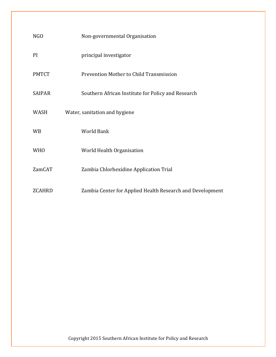| NGO           | Non-governmental Organisation                             |
|---------------|-----------------------------------------------------------|
| <b>PI</b>     | principal investigator                                    |
| <b>PMTCT</b>  | Prevention Mother to Child Transmission                   |
| <b>SAIPAR</b> | Southern African Institute for Policy and Research        |
| WASH          | Water, sanitation and hygiene                             |
| <b>WB</b>     | <b>World Bank</b>                                         |
| <b>WHO</b>    | World Health Organisation                                 |
| <b>ZamCAT</b> | Zambia Chlorhexidine Application Trial                    |
| <b>ZCAHRD</b> | Zambia Center for Applied Health Research and Development |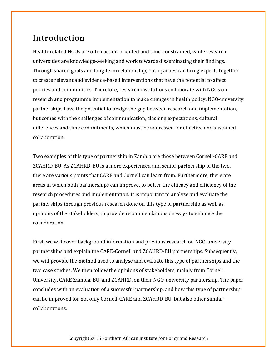## Introduction

Health-related NGOs are often action-oriented and time-constrained, while research universities are knowledge-seeking and work towards disseminating their findings. Through shared goals and long-term relationship, both parties can bring experts together to create relevant and evidence-based interventions that have the potential to affect policies and communities. Therefore, research institutions collaborate with NGOs on research and programme implementation to make changes in health policy. NGO-university partnerships have the potential to bridge the gap between research and implementation, but comes with the challenges of communication, clashing expectations, cultural differences and time commitments, which must be addressed for effective and sustained collaboration.

Two examples of this type of partnership in Zambia are those between Cornell-CARE and ZCAHRD-BU. As ZCAHRD-BU is a more experienced and senior partnership of the two, there are various points that CARE and Cornell can learn from. Furthermore, there are areas in which both partnerships can improve, to better the efficacy and efficiency of the research procedures and implementation. It is important to analyse and evaluate the partnerships through previous research done on this type of partnership as well as opinions of the stakeholders, to provide recommendations on ways to enhance the collaboration.

First, we will cover background information and previous research on NGO-university partnerships and explain the CARE-Cornell and ZCAHRD-BU partnerships. Subsequently, we will provide the method used to analyse and evaluate this type of partnerships and the two case studies. We then follow the opinions of stakeholders, mainly from Cornell University, CARE Zambia, BU, and ZCAHRD, on their NGO-university partnership. The paper concludes with an evaluation of a successful partnership, and how this type of partnership can be improved for not only Cornell-CARE and ZCAHRD-BU, but also other similar collaborations.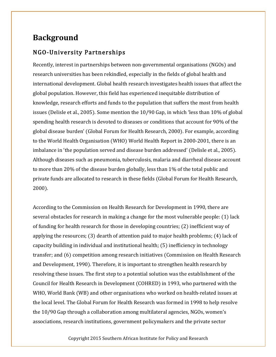### **Background**

### NGO-University Partnerships

Recently, interest in partnerships between non-governmental organisations (NGOs) and research universities has been rekindled, especially in the fields of global health and international development. Global health research investigates health issues that affect the global population. However, this field has experienced inequitable distribution of knowledge, research efforts and funds to the population that suffers the most from health issues (Delisle et al., 2005). Some mention the 10/90 Gap, in which 'less than 10% of global spending health research is devoted to diseases or conditions that account for 90% of the global disease burden' (Global Forum for Health Research, 2000). For example, according to the World Health Organisation (WHO) World Health Report in 2000-2001, there is an imbalance in 'the population served and disease burden addressed' (Delisle et al., 2005). Although diseases such as pneumonia, tuberculosis, malaria and diarrheal disease account to more than 20% of the disease burden globally, less than 1% of the total public and private funds are allocated to research in these fields (Global Forum for Health Research, 2000).

According to the Commission on Health Research for Development in 1990, there are several obstacles for research in making a change for the most vulnerable people: (1) lack of funding for health research for those in developing countries; (2) inefficient way of applying the resources; (3) dearth of attention paid to major health problems; (4) lack of capacity building in individual and institutional health; (5) inefficiency in technology transfer; and (6) competition among research initiatives (Commission on Health Research and Development, 1990). Therefore, it is important to strengthen health research by resolving these issues. The first step to a potential solution was the establishment of the Council for Health Research in Development (COHRED) in 1993, who partnered with the WHO, World Bank (WB) and other organisations who worked on health-related issues at the local level. The Global Forum for Health Research was formed in 1998 to help resolve the 10/90 Gap through a collaboration among multilateral agencies, NGOs, women's associations, research institutions, government policymakers and the private sector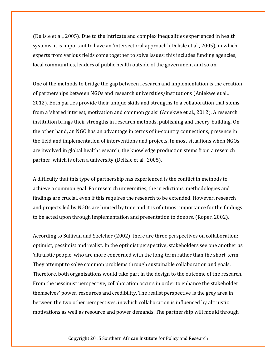(Delisle et al., 2005). Due to the intricate and complex inequalities experienced in health systems, it is important to have an 'intersectoral approach' (Delisle et al., 2005), in which experts from various fields come together to solve issues; this includes funding agencies, local communities, leaders of public health outside of the government and so on.

One of the methods to bridge the gap between research and implementation is the creation of partnerships between NGOs and research universities/institutions (Aniekwe et al., 2012). Both parties provide their unique skills and strengths to a collaboration that stems from a 'shared interest, motivation and common goals' (Aniekwe et al., 2012). A research institution brings their strengths in research methods, publishing and theory-building. On the other hand, an NGO has an advantage in terms of in-country connections, presence in the field and implementation of interventions and projects. In most situations when NGOs are involved in global health research, the knowledge production stems from a research partner, which is often a university (Delisle et al., 2005).

A difficulty that this type of partnership has experienced is the conflict in methods to achieve a common goal. For research universities, the predictions, methodologies and findings are crucial, even if this requires the research to be extended. However, research and projects led by NGOs are limited by time and it is of utmost importance for the findings to be acted upon through implementation and presentation to donors. (Roper, 2002).

According to Sullivan and Skelcher (2002), there are three perspectives on collaboration: optimist, pessimist and realist. In the optimist perspective, stakeholders see one another as 'altruistic people' who are more concerned with the long-term rather than the short-term. They attempt to solve common problems through sustainable collaboration and goals. Therefore, both organisations would take part in the design to the outcome of the research. From the pessimist perspective, collaboration occurs in order to enhance the stakeholder themselves' power, resources and credibility. The realist perspective is the grey area in between the two other perspectives, in which collaboration is influenced by altruistic motivations as well as resource and power demands. The partnership will mould through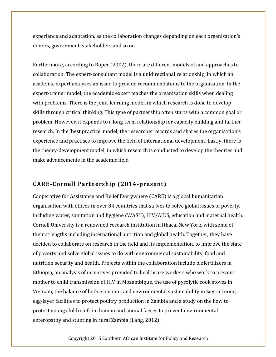experience and adaptation, as the collaboration changes depending on each organisation's donors, government, stakeholders and so on.

Furthermore, according to Roper (2002), there are different models of and approaches to collaboration. The expert-consultant model is a unidirectional relationship, in which an academic expert analyses an issue to provide recommendations to the organisation. In the expert-trainer model, the academic expert teaches the organisation skills when dealing with problems. There is the joint-learning model, in which research is done to develop skills through critical thinking. This type of partnership often starts with a common goal or problem. However, it expands to a long-term relationship for capacity building and further research. In the 'best practice' model, the researcher records and shares the organisation's experience and practises to improve the field of international development. Lastly, there is the theory-development model, in which research is conducted to develop the theories and make advancements in the academic field.

### CARE-Cornell Partnership (2014-present)

Cooperative for Assistance and Relief Everywhere (CARE) is a global humanitarian organisation with offices in over 84 countries that strives to solve global issues of poverty, including water, sanitation and hygiene (WASH), HIV/AIDS, education and maternal health. Cornell University is a renowned research institution in Ithaca, New York, with some of their strengths including international nutrition and global health. Together, they have decided to collaborate on research in the field and its implementation, to improve the state of poverty and solve global issues to do with environmental sustainability, food and nutrition security and health. Projects within the collaboration include biofertilizers in Ethiopia, an analysis of incentives provided to healthcare workers who work to prevent mother to child transmission of HIV in Mozambique, the use of pyrolytic cook stoves in Vietnam, the balance of both economic and environmental sustainability in Sierra Leone, egg-layer facilities to protect poultry production in Zambia and a study on the how to protect young children from human and animal faeces to prevent environmental enteropathy and stunting in rural Zambia (Lang, 2012).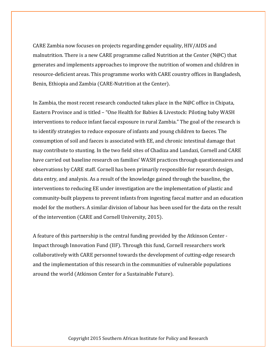CARE Zambia now focuses on projects regarding gender equality, HIV/AIDS and malnutrition. There is a new CARE programme called Nutrition at the Center ( $N@C$ ) that generates and implements approaches to improve the nutrition of women and children in resource-deficient areas. This programme works with CARE country offices in Bangladesh, Benin, Ethiopia and Zambia (CARE-Nutrition at the Center).

In Zambia, the most recent research conducted takes place in the N@C office in Chipata, Eastern Province and is titled – "One Health for Babies & Livestock: Piloting baby WASH interventions to reduce infant faecal exposure in rural Zambia." The goal of the research is to identify strategies to reduce exposure of infants and young children to faeces. The consumption of soil and faeces is associated with EE, and chronic intestinal damage that may contribute to stunting. In the two field sites of Chadiza and Lundazi, Cornell and CARE have carried out baseline research on families' WASH practices through questionnaires and observations by CARE staff. Cornell has been primarily responsible for research design, data entry, and analysis. As a result of the knowledge gained through the baseline, the interventions to reducing EE under investigation are the implementation of plastic and community-built playpens to prevent infants from ingesting faecal matter and an education model for the mothers. A similar division of labour has been used for the data on the result of the intervention (CARE and Cornell University, 2015).

A feature of this partnership is the central funding provided by the Atkinson Center - Impact through Innovation Fund (IIF). Through this fund, Cornell researchers work collaboratively with CARE personnel towards the development of cutting-edge research and the implementation of this research in the communities of vulnerable populations around the world (Atkinson Center for a Sustainable Future).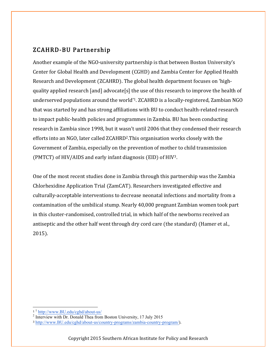### ZCAHRD-BU Partnership

Another example of the NGO-university partnership is that between Boston University's Center for Global Health and Development (CGHD) and Zambia Center for Applied Health Research and Development (ZCAHRD). The global health department focuses on 'highquality applied research [and] advocate[s] the use of this research to improve the health of underserved populations around the world'1. ZCAHRD is a locally-registered, Zambian NGO that was started by and has strong affiliations with BU to conduct health-related research to impact public-health policies and programmes in Zambia. BU has been conducting research in Zambia since 1998, but it wasn't until 2006 that they condensed their research efforts into an NGO, later called ZCAHRD2.This organisation works closely with the Government of Zambia, especially on the prevention of mother to child transmission (PMTCT) of HIV/AIDS and early infant diagnosis (EID) of HIV3.

One of the most recent studies done in Zambia through this partnership was the Zambia Chlorhexidine Application Trial (ZamCAT). Researchers investigated effective and culturally-acceptable interventions to decrease neonatal infections and mortality from a contamination of the umbilical stump. Nearly 40,000 pregnant Zambian women took part in this cluster-randomised, controlled trial, in which half of the newborns received an antiseptic and the other half went through dry cord care (the standard) (Hamer et al., 2015).

<sup>&</sup>lt;u> Andreas Andreas Andreas Andreas Andreas Andreas Andreas Andreas Andreas Andreas Andreas Andreas Andreas Andreas</u>

 $\frac{1}{2} \frac{\text{http://www.BU.edu/cghd/about-us/}}{\text{Interview with Dr. Donald Thea from Boston University, 17 July 2015}}$ 

<sup>3</sup> http://www.BU.edu/cghd/about-us/country-programs/zambia-country-program/).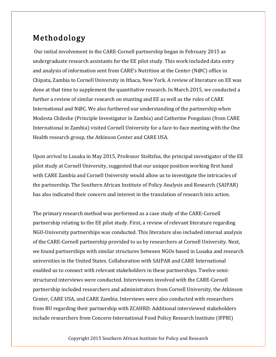# Methodology

Our initial involvement in the CARE-Cornell partnership began in February 2015 as undergraduate research assistants for the EE pilot study. This work included data entry and analysis of information sent from CARE's Nutrition at the Center (N@C) office in Chipata, Zambia to Cornell University in Ithaca, New York. A review of literature on EE was done at that time to supplement the quantitative research. In March 2015, we conducted a further a review of similar research on stunting and EE as well as the roles of CARE International and N@C. We also furthered our understanding of the partnership when Modesta Chileshe (Principle Investigator in Zambia) and Catherine Pongolani (from CARE International in Zambia) visited Cornell University for a face-to-face meeting with the One Health research group, the Atkinson Center and CARE USA.

Upon arrival to Lusaka in May 2015, Professor Stoltzfus, the principal investigator of the EE pilot study at Cornell University, suggested that our unique position working first hand with CARE Zambia and Cornell University would allow us to investigate the intricacies of the partnership. The Southern African Institute of Policy Analysis and Research (SAIPAR) has also indicated their concern and interest in the translation of research into action.

The primary research method was performed as a case study of the CARE-Cornell partnership relating to the EE pilot study. First, a review of relevant literature regarding NGO-University partnerships was conducted. This literature also included internal analysis of the CARE-Cornell partnership provided to us by researchers at Cornell University. Next, we found partnerships with similar structures between NGOs based in Lusaka and research universities in the United States. Collaboration with SAIPAR and CARE International enabled us to connect with relevant stakeholders in these partnerships. Twelve semistructured interviews were conducted. Interviewees involved with the CARE-Cornell partnership included researchers and administrators from Cornell University, the Atkinson Center, CARE USA, and CARE Zambia. Interviews were also conducted with researchers from BU regarding their partnership with ZCAHRD. Additional interviewed stakeholders include researchers from Concern-International Food Policy Research Institute (IFPRI)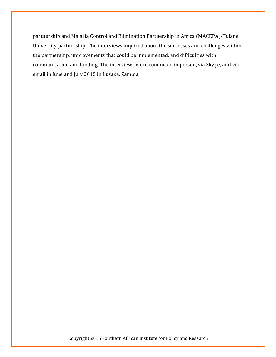partnership and Malaria Control and Elimination Partnership in Africa (MACEPA)-Tulane University partnership. The interviews inquired about the successes and challenges within the partnership, improvements that could be implemented, and difficulties with communication and funding. The interviews were conducted in person, via Skype, and via email in June and July 2015 in Lusaka, Zambia.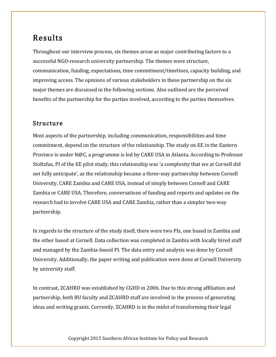# Results

Throughout our interview process, six themes arose as major contributing factors to a successful NGO-research university partnership. The themes were structure, communication, funding, expectations, time commitment/timelines, capacity building, and improving access. The opinions of various stakeholders in these partnership on the six major themes are discussed in the following sections. Also outlined are the perceived benefits of the partnership for the parties involved, according to the parties themselves.

### Structure

Most aspects of the partnership, including communication, responsibilities and time commitment, depend on the structure of the relationship. The study on EE in the Eastern Province is under N@C, a programme is led by CARE USA in Atlanta. According to Professor Stoltzfus, PI of the EE pilot study, this relationship was 'a complexity that we at Cornell did not fully anticipate', as the relationship became a three-way partnership between Cornell University, CARE Zambia and CARE USA, instead of simply between Cornell and CARE Zambia or CARE USA. Therefore, conversations of funding and reports and updates on the research had to involve CARE USA and CARE Zambia, rather than a simpler two-way partnership.

In regards to the structure of the study itself, there were two PIs, one based in Zambia and the other based at Cornell. Data collection was completed in Zambia with locally hired staff and managed by the Zambia-based PI. The data entry and analysis was done by Cornell University. Additionally, the paper writing and publication were done at Cornell University by university staff.

In contrast, ZCAHRD was established by CGHD in 2006. Due to this strong affiliation and partnership, both BU faculty and ZCAHRD staff are involved in the process of generating ideas and writing grants. Currently, ZCAHRD is in the midst of transforming their legal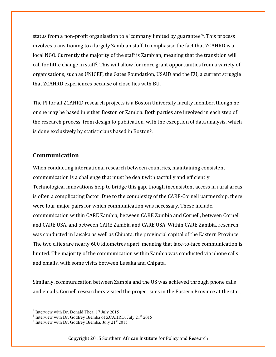status from a non-profit organisation to a 'company limited by guarantee'4. This process involves transitioning to a largely Zambian staff, to emphasise the fact that ZCAHRD is a local NGO. Currently the majority of the staff is Zambian, meaning that the transition will call for little change in staff5. This will allow for more grant opportunities from a variety of organisations, such as UNICEF, the Gates Foundation, USAID and the EU, a current struggle that ZCAHRD experiences because of close ties with BU.

The PI for all ZCAHRD research projects is a Boston University faculty member, though he or she may be based in either Boston or Zambia. Both parties are involved in each step of the research process, from design to publication, with the exception of data analysis, which is done exclusively by statisticians based in Boston<sup>6</sup>.

#### **Communication**

When conducting international research between countries, maintaining consistent communication is a challenge that must be dealt with tactfully and efficiently. Technological innovations help to bridge this gap, though inconsistent access in rural areas is often a complicating factor. Due to the complexity of the CARE-Cornell partnership, there were four major pairs for which communication was necessary. These include, communication within CARE Zambia, between CARE Zambia and Cornell, between Cornell and CARE USA, and between CARE Zambia and CARE USA. Within CARE Zambia, research was conducted in Lusaka as well as Chipata, the provincial capital of the Eastern Province. The two cities are nearly 600 kilometres apart, meaning that face-to-face communication is limited. The majority of the communication within Zambia was conducted via phone calls and emails, with some visits between Lusaka and Chipata.

Similarly, communication between Zambia and the US was achieved through phone calls and emails. Cornell researchers visited the project sites in the Eastern Province at the start

 <sup>4</sup> Interview with Dr. Donald Thea, 17 July 2015

<sup>&</sup>lt;sup>5</sup> Interview with Dr. Godfrey Biemba of ZCAHRD, July 21<sup>st</sup> 2015<br><sup>6</sup> Interview with Dr. Godfrey Biemba, July 21<sup>st</sup> 2015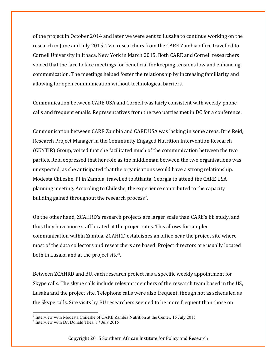of the project in October 2014 and later we were sent to Lusaka to continue working on the research in June and July 2015. Two researchers from the CARE Zambia office travelled to Cornell University in Ithaca, New York in March 2015. Both CARE and Cornell researchers voiced that the face to face meetings for beneficial for keeping tensions low and enhancing communication. The meetings helped foster the relationship by increasing familiarity and allowing for open communication without technological barriers.

Communication between CARE USA and Cornell was fairly consistent with weekly phone calls and frequent emails. Representatives from the two parties met in DC for a conference.

Communication between CARE Zambia and CARE USA was lacking in some areas. Brie Reid, Research Project Manager in the Community Engaged Nutrition Intervention Research (CENTIR) Group, voiced that she facilitated much of the communication between the two parties. Reid expressed that her role as the middleman between the two organisations was unexpected, as she anticipated that the organisations would have a strong relationship. Modesta Chileshe, PI in Zambia, travelled to Atlanta, Georgia to attend the CARE USA planning meeting. According to Chileshe, the experience contributed to the capacity building gained throughout the research process<sup>7</sup>.

On the other hand, ZCAHRD's research projects are larger scale than CARE's EE study, and thus they have more staff located at the project sites. This allows for simpler communication within Zambia. ZCAHRD establishes an office near the project site where most of the data collectors and researchers are based. Project directors are usually located both in Lusaka and at the project site<sup>8</sup>.

Between ZCAHRD and BU, each research project has a specific weekly appointment for Skype calls. The skype calls include relevant members of the research team based in the US, Lusaka and the project site. Telephone calls were also frequent, though not as scheduled as the Skype calls. Site visits by BU researchers seemed to be more frequent than those on

 $<sup>7</sup>$  Interview with Modesta Chileshe of CARE Zambia Nutrition at the Center, 15 July 2015</sup>

<sup>8</sup> Interview with Dr. Donald Thea, 17 July 2015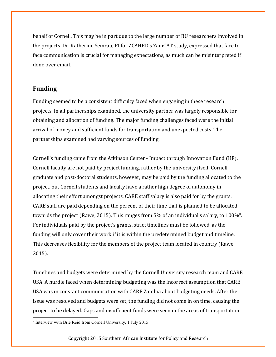behalf of Cornell. This may be in part due to the large number of BU researchers involved in the projects. Dr. Katherine Semrau, PI for ZCAHRD's ZamCAT study, expressed that face to face communication is crucial for managing expectations, as much can be misinterpreted if done over email.

#### **Funding**

Funding seemed to be a consistent difficulty faced when engaging in these research projects. In all partnerships examined, the university partner was largely responsible for obtaining and allocation of funding. The major funding challenges faced were the initial arrival of money and sufficient funds for transportation and unexpected costs. The partnerships examined had varying sources of funding.

Cornell's funding came from the Atkinson Center - Impact through Innovation Fund (IIF). Cornell faculty are not paid by project funding, rather by the university itself. Cornell graduate and post-doctoral students, however, may be paid by the funding allocated to the project, but Cornell students and faculty have a rather high degree of autonomy in allocating their effort amongst projects. CARE staff salary is also paid for by the grants. CARE staff are paid depending on the percent of their time that is planned to be allocated towards the project (Rawe, 2015). This ranges from 5% of an individual's salary, to 100%9. For individuals paid by the project's grants, strict timelines must be followed, as the funding will only cover their work if it is within the predetermined budget and timeline. This decreases flexibility for the members of the project team located in country (Rawe, 2015).

Timelines and budgets were determined by the Cornell University research team and CARE USA. A hurdle faced when determining budgeting was the incorrect assumption that CARE USA was in constant communication with CARE Zambia about budgeting needs. After the issue was resolved and budgets were set, the funding did not come in on time, causing the project to be delayed. Gaps and insufficient funds were seen in the areas of transportation

 <sup>9</sup> Interview with Brie Reid from Cornell University, 1 July 2015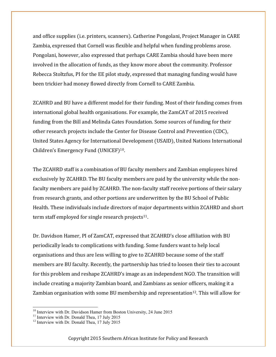and office supplies (i.e. printers, scanners). Catherine Pongolani, Project Manager in CARE Zambia, expressed that Cornell was flexible and helpful when funding problems arose. Pongolani, however, also expressed that perhaps CARE Zambia should have been more involved in the allocation of funds, as they know more about the community. Professor Rebecca Stoltzfus, PI for the EE pilot study, expressed that managing funding would have been trickier had money flowed directly from Cornell to CARE Zambia.

ZCAHRD and BU have a different model for their funding. Most of their funding comes from international global health organisations. For example, the ZamCAT of 2015 received funding from the Bill and Melinda Gates Foundation. Some sources of funding for their other research projects include the Center for Disease Control and Prevention (CDC), United States Agency for International Development (USAID), United Nations International Children's Emergency Fund (UNICEF)10.

The ZCAHRD staff is a combination of BU faculty members and Zambian employees hired exclusively by ZCAHRD. The BU faculty members are paid by the university while the nonfaculty members are paid by ZCAHRD. The non-faculty staff receive portions of their salary from research grants, and other portions are underwritten by the BU School of Public Health. These individuals include directors of major departments within ZCAHRD and short term staff employed for single research projects $11$ .

Dr. Davidson Hamer, PI of ZamCAT, expressed that ZCAHRD's close affiliation with BU periodically leads to complications with funding. Some funders want to help local organisations and thus are less willing to give to ZCAHRD because some of the staff members are BU faculty. Recently, the partnership has tried to loosen their ties to account for this problem and reshape ZCAHRD's image as an independent NGO. The transition will include creating a majority Zambian board, and Zambians as senior officers, making it a Zambian organisation with some BU membership and representation<sup>12</sup>. This will allow for

<sup>&</sup>lt;sup>10</sup> Interview with Dr. Davidson Hamer from Boston University, 24 June 2015<br><sup>11</sup> Interview with Dr. Donald Thea, 17 July 2015<br><sup>12</sup> Interview with Dr. Donald Thea, 17 July 2015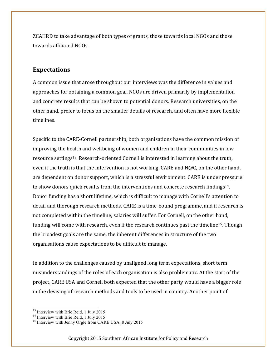ZCAHRD to take advantage of both types of grants, those towards local NGOs and those towards affiliated NGOs.

#### **Expectations**

A common issue that arose throughout our interviews was the difference in values and approaches for obtaining a common goal. NGOs are driven primarily by implementation and concrete results that can be shown to potential donors. Research universities, on the other hand, prefer to focus on the smaller details of research, and often have more flexible timelines.

Specific to the CARE-Cornell partnership, both organisations have the common mission of improving the health and wellbeing of women and children in their communities in low resource settings13. Research-oriented Cornell is interested in learning about the truth, even if the truth is that the intervention is not working. CARE and  $N@C$ , on the other hand, are dependent on donor support, which is a stressful environment. CARE is under pressure to show donors quick results from the interventions and concrete research findings14. Donor funding has a short lifetime, which is difficult to manage with Cornell's attention to detail and thorough research methods. CARE is a time-bound programme, and if research is not completed within the timeline, salaries will suffer. For Cornell, on the other hand, funding will come with research, even if the research continues past the timeline15. Though the broadest goals are the same, the inherent differences in structure of the two organisations cause expectations to be difficult to manage.

In addition to the challenges caused by unaligned long term expectations, short term misunderstandings of the roles of each organisation is also problematic. At the start of the project, CARE USA and Cornell both expected that the other party would have a bigger role in the devising of research methods and tools to be used in country. Another point of

<sup>&</sup>lt;sup>13</sup> Interview with Brie Reid, 1 July 2015<br><sup>14</sup> Interview with Brie Reid, 1 July 2015<br><sup>15</sup> Interview with Jenny Orgle from CARE USA, 8 July 2015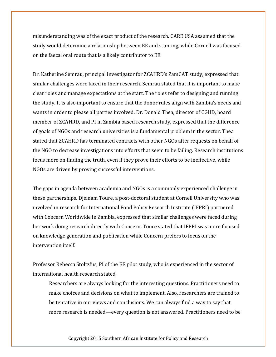misunderstanding was of the exact product of the research. CARE USA assumed that the study would determine a relationship between EE and stunting, while Cornell was focused on the faecal oral route that is a likely contributor to EE.

Dr. Katherine Semrau, principal investigator for ZCAHRD's ZamCAT study, expressed that similar challenges were faced in their research. Semrau stated that it is important to make clear roles and manage expectations at the start. The roles refer to designing and running the study. It is also important to ensure that the donor rules align with Zambia's needs and wants in order to please all parties involved. Dr. Donald Thea, director of CGHD, board member of ZCAHRD, and PI in Zambia based research study, expressed that the difference of goals of NGOs and research universities is a fundamental problem in the sector. Thea stated that ZCAHRD has terminated contracts with other NGOs after requests on behalf of the NGO to decrease investigations into efforts that seem to be failing. Research institutions focus more on finding the truth, even if they prove their efforts to be ineffective, while NGOs are driven by proving successful interventions.

The gaps in agenda between academia and NGOs is a commonly experienced challenge in these partnerships. Djeinam Toure, a post-doctoral student at Cornell University who was involved in research for International Food Policy Research Institute (IFPRI) partnered with Concern Worldwide in Zambia, expressed that similar challenges were faced during her work doing research directly with Concern. Toure stated that IFPRI was more focused on knowledge generation and publication while Concern prefers to focus on the intervention itself.

Professor Rebecca Stoltzfus, PI of the EE pilot study, who is experienced in the sector of international health research stated,

Researchers are always looking for the interesting questions. Practitioners need to make choices and decisions on what to implement. Also, researchers are trained to be tentative in our views and conclusions. We can always find a way to say that more research is needed—every question is not answered. Practitioners need to be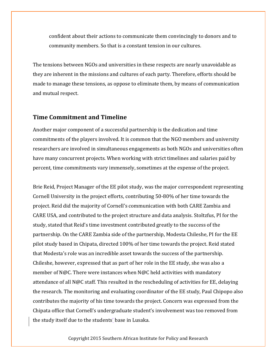confident about their actions to communicate them convincingly to donors and to community members. So that is a constant tension in our cultures.

The tensions between NGOs and universities in these respects are nearly unavoidable as they are inherent in the missions and cultures of each party. Therefore, efforts should be made to manage these tensions, as oppose to eliminate them, by means of communication and mutual respect.

#### **Time Commitment and Timeline**

Another major component of a successful partnership is the dedication and time commitments of the players involved. It is common that the NGO members and university researchers are involved in simultaneous engagements as both NGOs and universities often have many concurrent projects. When working with strict timelines and salaries paid by percent, time commitments vary immensely, sometimes at the expense of the project.

Brie Reid, Project Manager of the EE pilot study, was the major correspondent representing Cornell University in the project efforts, contributing 50-80% of her time towards the project. Reid did the majority of Cornell's communication with both CARE Zambia and CARE USA, and contributed to the project structure and data analysis. Stoltzfus, PI for the study, stated that Reid's time investment contributed greatly to the success of the partnership. On the CARE Zambia side of the partnership, Modesta Chileshe, PI for the EE pilot study based in Chipata, directed 100% of her time towards the project. Reid stated that Modesta's role was an incredible asset towards the success of the partnership. Chileshe, however, expressed that as part of her role in the EE study, she was also a member of N@C. There were instances when N@C held activities with mandatory attendance of all N@C staff. This resulted in the rescheduling of activities for EE, delaying the research. The monitoring and evaluating coordinator of the EE study, Paul Chipopo also contributes the majority of his time towards the project. Concern was expressed from the Chipata office that Cornell's undergraduate student's involvement was too removed from the study itself due to the students' base in Lusaka.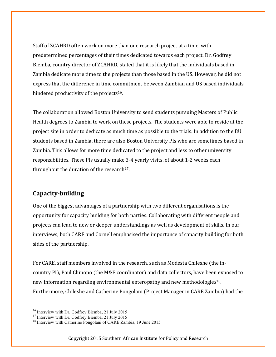Staff of ZCAHRD often work on more than one research project at a time, with predetermined percentages of their times dedicated towards each project. Dr. Godfrey Biemba, country director of ZCAHRD, stated that it is likely that the individuals based in Zambia dedicate more time to the projects than those based in the US. However, he did not express that the difference in time commitment between Zambian and US based individuals hindered productivity of the projects<sup>16</sup>.

The collaboration allowed Boston University to send students pursuing Masters of Public Health degrees to Zambia to work on these projects. The students were able to reside at the project site in order to dedicate as much time as possible to the trials. In addition to the BU students based in Zambia, there are also Boston University PIs who are sometimes based in Zambia. This allows for more time dedicated to the project and less to other university responsibilities. These PIs usually make 3-4 yearly visits, of about 1-2 weeks each throughout the duration of the research<sup>17</sup>.

### **Capacity-building**

One of the biggest advantages of a partnership with two different organisations is the opportunity for capacity building for both parties. Collaborating with different people and projects can lead to new or deeper understandings as well as development of skills. In our interviews, both CARE and Cornell emphasised the importance of capacity building for both sides of the partnership.

For CARE, staff members involved in the research, such as Modesta Chileshe (the incountry PI), Paul Chipopo (the M&E coordinator) and data collectors, have been exposed to new information regarding environmental enteropathy and new methodologies<sup>18</sup>. Furthermore, Chileshe and Catherine Pongolani (Project Manager in CARE Zambia) had the

<sup>&</sup>lt;sup>16</sup> Interview with Dr. Godfrey Biemba, 21 July 2015<br><sup>17</sup> Interview with Dr. Godfrey Biemba, 21 July 2015<br><sup>18</sup> Interview with Catherine Pongolani of CARE Zambia, 19 June 2015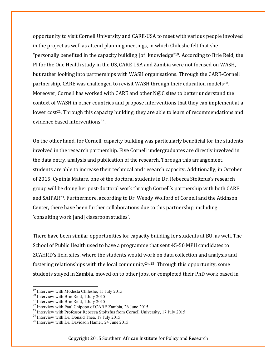opportunity to visit Cornell University and CARE-USA to meet with various people involved in the project as well as attend planning meetings, in which Chileshe felt that she "personally benefited in the capacity building [of] knowledge"19. According to Brie Reid, the PI for the One Health study in the US, CARE USA and Zambia were not focused on WASH, but rather looking into partnerships with WASH organisations. Through the CARE-Cornell partnership, CARE was challenged to revisit WASH through their education models<sup>20</sup>. Moreover, Cornell has worked with CARE and other N@C sites to better understand the context of WASH in other countries and propose interventions that they can implement at a lower cost<sup>21</sup>. Through this capacity building, they are able to learn of recommendations and evidence based interventions<sup>22</sup>.

On the other hand, for Cornell, capacity building was particularly beneficial for the students involved in the research partnership. Five Cornell undergraduates are directly involved in the data entry, analysis and publication of the research. Through this arrangement, students are able to increase their technical and research capacity. Additionally, in October of 2015, Cynthia Matare, one of the doctoral students in Dr. Rebecca Stoltzfus's research group will be doing her post-doctoral work through Cornell's partnership with both CARE and SAIPAR23. Furthermore, according to Dr. Wendy Wolford of Cornell and the Atkinson Center, there have been further collaborations due to this partnership, including 'consulting work [and] classroom studies'.

There have been similar opportunities for capacity building for students at BU, as well. The School of Public Health used to have a programme that sent 45-50 MPH candidates to ZCAHRD's field sites, where the students would work on data collection and analysis and fostering relationships with the local community<sup>24, 25</sup>. Through this opportunity, some students stayed in Zambia, moved on to other jobs, or completed their PhD work based in

<sup>&</sup>lt;sup>19</sup> Interview with Modesta Chileshe, 15 July 2015<br>
<sup>20</sup> Interview with Brie Reid, 1 July 2015<br>
<sup>21</sup> Interview with Brie Reid, 1 July 2015<br>
<sup>22</sup> Interview with Paul Chipopo of CARE Zambia, 26 June 2015<br>
<sup>23</sup> Interview wit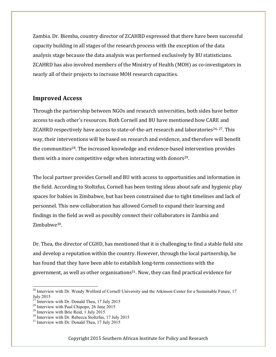Zambia. Dr. Biemba, country director of ZCAHRD expressed that there have been successful capacity building in all stages of the research process with the exception of the data analysis stage because the data analysis was performed exclusively by BU statisticians. ZCAHRD has also involved members of the Ministry of Health (MOH) as co-investigators in nearly all of their projects to increase MOH research capacities.

#### **Improved Access**

Through the partnership between NGOs and research universities, both sides have better access to each other's resources. Both Cornell and BU have mentioned how CARE and ZCAHRD respectively have access to state-of-the-art research and laboratories<sup>26, 27</sup>. This way, their interventions will be based on research and evidence, and therefore will benefit the communities<sup>28</sup>. The increased knowledge and evidence-based intervention provides them with a more competitive edge when interacting with donors<sup>29</sup>.

The local partner provides Cornell and BU with access to opportunities and information in the field. According to Stoltzfus, Cornell has been testing ideas about safe and hygienic play spaces for babies in Zimbabwe, but has been constrained due to tight timelines and lack of personnel. This new collaboration has allowed Cornell to expand their learning and findings in the field as well as possibly connect their collaborators in Zambia and Zimbabwe<sup>30</sup>.

Dr. Thea, the director of CGHD, has mentioned that it is challenging to find a stable field site and develop a reputation within the country. However, through the local partnership, he has found that they have been able to establish long-term connections with the government, as well as other organisations<sup>31</sup>. Now, they can find practical evidence for

<sup>&</sup>lt;sup>26</sup> Interview with Dr. Wendy Wolford of Cornell University and the Atkinson Center for a Sustainable Future, 17 July 2015<br><sup>27</sup> Interview with Dr. Donald Thea, 17 July 2015

<sup>&</sup>lt;sup>28</sup> Interview with Paul Chipopo, 26 June 2015<br><sup>29</sup> Interview with Brie Reid, 1 July 2015<br><sup>30</sup> Interview with Dr. Rebecca Stoltzfus, 17 July 2015<br><sup>31</sup> Interview with Dr. Donald Thea, 17 July 2015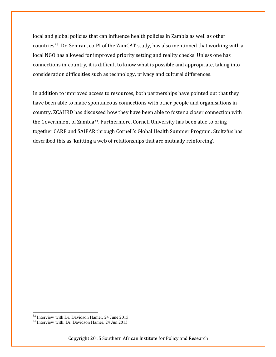local and global policies that can influence health policies in Zambia as well as other countries32. Dr. Semrau, co-PI of the ZamCAT study, has also mentioned that working with a local NGO has allowed for improved priority setting and reality checks. Unless one has connections in-country, it is difficult to know what is possible and appropriate, taking into consideration difficulties such as technology, privacy and cultural differences.

In addition to improved access to resources, both partnerships have pointed out that they have been able to make spontaneous connections with other people and organisations incountry. ZCAHRD has discussed how they have been able to foster a closer connection with the Government of Zambia33. Furthermore, Cornell University has been able to bring together CARE and SAIPAR through Cornell's Global Health Summer Program. Stoltzfus has described this as 'knitting a web of relationships that are mutually reinforcing'.

 $32$  Interview with Dr. Davidson Hamer, 24 June 2015<br> $33$  Interview with. Dr. Davidson Hamer, 24 Jun 2015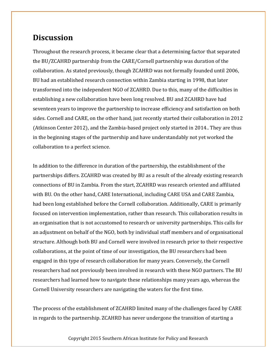### **Discussion**

Throughout the research process, it became clear that a determining factor that separated the BU/ZCAHRD partnership from the CARE/Cornell partnership was duration of the collaboration. As stated previously, though ZCAHRD was not formally founded until 2006, BU had an established research connection within Zambia starting in 1998, that later transformed into the independent NGO of ZCAHRD. Due to this, many of the difficulties in establishing a new collaboration have been long resolved. BU and ZCAHRD have had seventeen years to improve the partnership to increase efficiency and satisfaction on both sides. Cornell and CARE, on the other hand, just recently started their collaboration in 2012 (Atkinson Center 2012), and the Zambia-based project only started in 2014.. They are thus in the beginning stages of the partnership and have understandably not yet worked the collaboration to a perfect science.

In addition to the difference in duration of the partnership, the establishment of the partnerships differs. ZCAHRD was created by BU as a result of the already existing research connections of BU in Zambia. From the start, ZCAHRD was research oriented and affiliated with BU. On the other hand, CARE International, including CARE USA and CARE Zambia, had been long established before the Cornell collaboration. Additionally, CARE is primarily focused on intervention implementation, rather than research. This collaboration results in an organisation that is not accustomed to research or university partnerships. This calls for an adjustment on behalf of the NGO, both by individual staff members and of organisational structure. Although both BU and Cornell were involved in research prior to their respective collaborations, at the point of time of our investigation, the BU researchers had been engaged in this type of research collaboration for many years. Conversely, the Cornell researchers had not previously been involved in research with these NGO partners. The BU researchers had learned how to navigate these relationships many years ago, whereas the Cornell University researchers are navigating the waters for the first time.

The process of the establishment of ZCAHRD limited many of the challenges faced by CARE in regards to the partnership. ZCAHRD has never undergone the transition of starting a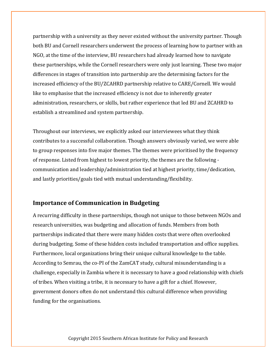partnership with a university as they never existed without the university partner. Though both BU and Cornell researchers underwent the process of learning how to partner with an NGO, at the time of the interview, BU researchers had already learned how to navigate these partnerships, while the Cornell researchers were only just learning. These two major differences in stages of transition into partnership are the determining factors for the increased efficiency of the BU/ZCAHRD partnership relative to CARE/Cornell. We would like to emphasise that the increased efficiency is not due to inherently greater administration, researchers, or skills, but rather experience that led BU and ZCAHRD to establish a streamlined and system partnership.

Throughout our interviews, we explicitly asked our interviewees what they think contributes to a successful collaboration. Though answers obviously varied, we were able to group responses into five major themes. The themes were prioritised by the frequency of response. Listed from highest to lowest priority, the themes are the following communication and leadership/administration tied at highest priority, time/dedication, and lastly priorities/goals tied with mutual understanding/flexibility.

#### **Importance of Communication in Budgeting**

A recurring difficulty in these partnerships, though not unique to those between NGOs and research universities, was budgeting and allocation of funds. Members from both partnerships indicated that there were many hidden costs that were often overlooked during budgeting. Some of these hidden costs included transportation and office supplies. Furthermore, local organizations bring their unique cultural knowledge to the table. According to Semrau, the co-PI of the ZamCAT study, cultural misunderstanding is a challenge, especially in Zambia where it is necessary to have a good relationship with chiefs of tribes. When visiting a tribe, it is necessary to have a gift for a chief. However, government donors often do not understand this cultural difference when providing funding for the organisations.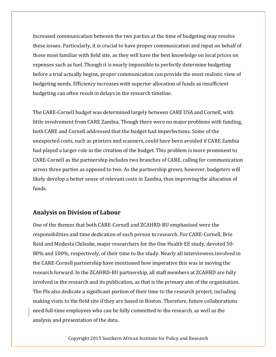Increased communication between the two parties at the time of budgeting may resolve these issues. Particularly, it is crucial to have proper communication and input on behalf of those most familiar with field site, as they will have the best knowledge on local prices on expenses such as fuel. Though it is nearly impossible to perfectly determine budgeting before a trial actually begins, proper communication can provide the most realistic view of budgeting needs. Efficiency increases with superior allocation of funds as insufficient budgeting can often result in delays in the research timeline.

The CARE-Cornell budget was determined largely between CARE USA and Cornell, with little involvement from CARE Zambia. Though there were no major problems with funding, both CARE and Cornell addressed that the budget had imperfections. Some of the unexpected costs, such as printers and scanners, could have been avoided if CARE Zambia had played a larger role in the creation of the budget. This problem is more prominent to CARE-Cornell as the partnership includes two branches of CARE, calling for communication across three parties as opposed to two. As the partnership grows, however, budgeters will likely develop a better sense of relevant costs in Zambia, thus improving the allocation of funds.

#### **Analysis on Division of Labour**

One of the themes that both CARE-Cornell and ZCAHRD-BU emphasised were the responsibilities and time dedication of each person to research. For CARE-Cornell, Brie Reid and Modesta Chileshe, major researchers for the One Health EE study, devoted 50- 80% and 100%, respectively, of their time to the study. Nearly all interviewees involved in the CARE-Cornell partnership have mentioned how imperative this was in moving the research forward. In the ZCAHRD-BU partnership, all staff members at ZCAHRD are fully involved in the research and its publication, as that is the primary aim of the organisation. The PIs also dedicate a significant portion of their time to the research project, including making visits to the field site if they are based in Boston. Therefore, future collaborations need full-time employees who can be fully committed to the research, as well as the analysis and presentation of the data.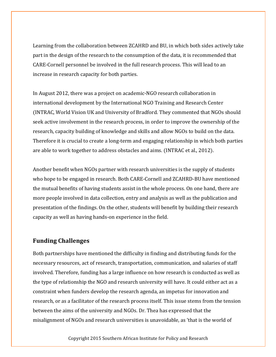Learning from the collaboration between ZCAHRD and BU, in which both sides actively take part in the design of the research to the consumption of the data, it is recommended that CARE-Cornell personnel be involved in the full research process. This will lead to an increase in research capacity for both parties.

In August 2012, there was a project on academic-NGO research collaboration in international development by the International NGO Training and Research Center (INTRAC, World Vision UK and University of Bradford. They commented that NGOs should seek active involvement in the research process, in order to improve the ownership of the research, capacity building of knowledge and skills and allow NGOs to build on the data. Therefore it is crucial to create a long-term and engaging relationship in which both parties are able to work together to address obstacles and aims. (INTRAC et al., 2012).

Another benefit when NGOs partner with research universities is the supply of students who hope to be engaged in research. Both CARE-Cornell and ZCAHRD-BU have mentioned the mutual benefits of having students assist in the whole process. On one hand, there are more people involved in data collection, entry and analysis as well as the publication and presentation of the findings. On the other, students will benefit by building their research capacity as well as having hands-on experience in the field.

#### **Funding Challenges**

Both partnerships have mentioned the difficulty in finding and distributing funds for the necessary resources, act of research, transportation, communication, and salaries of staff involved. Therefore, funding has a large influence on how research is conducted as well as the type of relationship the NGO and research university will have. It could either act as a constraint when funders develop the research agenda, an impetus for innovation and research, or as a facilitator of the research process itself. This issue stems from the tension between the aims of the university and NGOs. Dr. Thea has expressed that the misalignment of NGOs and research universities is unavoidable, as 'that is the world of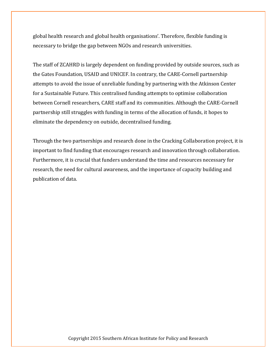global health research and global health organisations'. Therefore, flexible funding is necessary to bridge the gap between NGOs and research universities.

The staff of ZCAHRD is largely dependent on funding provided by outside sources, such as the Gates Foundation, USAID and UNICEF. In contrary, the CARE-Cornell partnership attempts to avoid the issue of unreliable funding by partnering with the Atkinson Center for a Sustainable Future. This centralised funding attempts to optimise collaboration between Cornell researchers, CARE staff and its communities. Although the CARE-Cornell partnership still struggles with funding in terms of the allocation of funds, it hopes to eliminate the dependency on outside, decentralised funding.

Through the two partnerships and research done in the Cracking Collaboration project, it is important to find funding that encourages research and innovation through collaboration. Furthermore, it is crucial that funders understand the time and resources necessary for research, the need for cultural awareness, and the importance of capacity building and publication of data.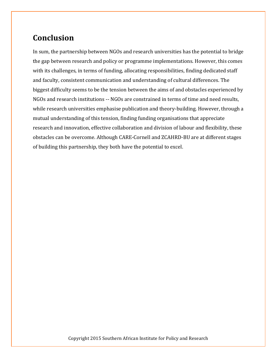# **Conclusion**

In sum, the partnership between NGOs and research universities has the potential to bridge the gap between research and policy or programme implementations. However, this comes with its challenges, in terms of funding, allocating responsibilities, finding dedicated staff and faculty, consistent communication and understanding of cultural differences. The biggest difficulty seems to be the tension between the aims of and obstacles experienced by NGOs and research institutions -- NGOs are constrained in terms of time and need results, while research universities emphasise publication and theory-building. However, through a mutual understanding of this tension, finding funding organisations that appreciate research and innovation, effective collaboration and division of labour and flexibility, these obstacles can be overcome. Although CARE-Cornell and ZCAHRD-BU are at different stages of building this partnership, they both have the potential to excel.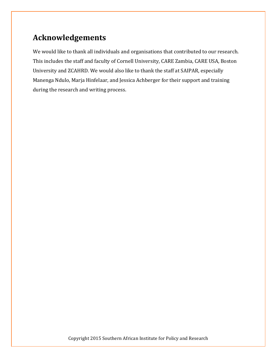# **Acknowledgements**

We would like to thank all individuals and organisations that contributed to our research. This includes the staff and faculty of Cornell University, CARE Zambia, CARE USA, Boston University and ZCAHRD. We would also like to thank the staff at SAIPAR, especially Manenga Ndulo, Marja Hinfelaar, and Jessica Achberger for their support and training during the research and writing process.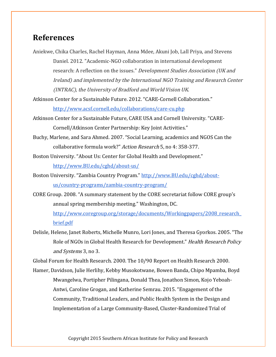### **References**

Aniekwe, Chika Charles, Rachel Hayman, Anna Mdee, Akuni Job, Lall Priya, and Stevens Daniel. 2012. "Academic-NGO collaboration in international development research: A reflection on the issues." Development Studies Association (UK and Ireland) and implemented by the International NGO Training and Research Center (INTRAC), the University of Bradford and World Vision UK.

Atkinson Center for a Sustainable Future. 2012. "CARE-Cornell Collaboration." http://www.acsf.cornell.edu/collaborations/care-cu.php

Atkinson Center for a Sustainable Future, CARE USA and Cornell University. "CARE-Cornell/Atkinson Center Partnership: Key Joint Activities."

Buchy, Marlene, and Sara Ahmed. 2007. "Social Learning, academics and NGOS Can the collaborative formula work?" Action Research 5, no 4: 358-377.

Boston University. "About Us: Center for Global Health and Development." http://www.BU.edu/cghd/about-us/

Boston University. "Zambia Country Program." http://www.BU.edu/cghd/aboutus/country-programs/zambia-country-program/

CORE Group. 2008. "A summary statement by the CORE secretariat follow CORE group's annual spring membership meeting." Washington, DC.

http://www.coregroup.org/storage/documents/Workingpapers/2008\_research\_ brief.pdf

Delisle, Helene, Janet Roberts, Michelle Munro, Lori Jones, and Theresa Gyorkos. 2005. "The Role of NGOs in Global Health Research for Development." Health Research Policy and Systems 3, no 3.

Global Forum for Health Research. 2000. The 10/90 Report on Health Research 2000.

Hamer, Davidson, Julie Herlihy, Kebby Musokotwane, Bowen Banda, Chipo Mpamba, Boyd Mwangelwa, Portipher Pilingana, Donald Thea, Jonathon Simon, Kojo Yeboah-Antwi, Caroline Grogan, and Katherine Semrau. 2015. "Engagement of the Community, Traditional Leaders, and Public Health System in the Design and Implementation of a Large Community-Based, Cluster-Randomized Trial of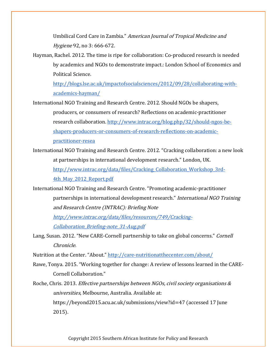Umbilical Cord Care in Zambia." American Journal of Tropical Medicine and Hygiene 92, no 3: 666-672.

Hayman, Rachel. 2012. The time is ripe for collaboration: Co-produced research is needed by academics and NGOs to demonstrate impact.: London School of Economics and Political Science.

http://blogs.lse.ac.uk/impactofsocialsciences/2012/09/28/collaborating-withacademics-hayman/

International NGO Training and Research Centre. 2012. Should NGOs be shapers, producers, or consumers of research? Reflections on academic-practitioner research collaboration. http://www.intrac.org/blog.php/32/should-ngos-beshapers-producers-or-consumers-of-research-reflections-on-academicpractitioner-resea

- International NGO Training and Research Centre. 2012. "Cracking collaboration: a new look at partnerships in international development research." London, UK. http://www.intrac.org/data/files/Cracking\_Collaboration\_Workshop\_3rd-4th May 2012 Report.pdf
- International NGO Training and Research Centre. "Promoting academic-practitioner partnerships in international development research." International NGO Training and Research Centre (INTRAC): Briefing Note

http://www.intrac.org/data/files/resources/749/Cracking-Collaboration\_Briefing-note\_31-Aug.pdf

Lang, Susan. 2012. "New CARE-Cornell partnership to take on global concerns." Cornell Chronicle.

Nutrition at the Center. "About." http://care-nutritionatthecenter.com/about/

- Rawe, Tonya. 2015. "Working together for change: A review of lessons learned in the CARE-Cornell Collaboration."
- Roche, Chris. 2013. Effective partnerships between NGOs, civil society organisations & universities, Melbourne, Australia. Available at: https://beyond2015.acu.ac.uk/submissions/view?id=47 (accessed 17 June 2015).